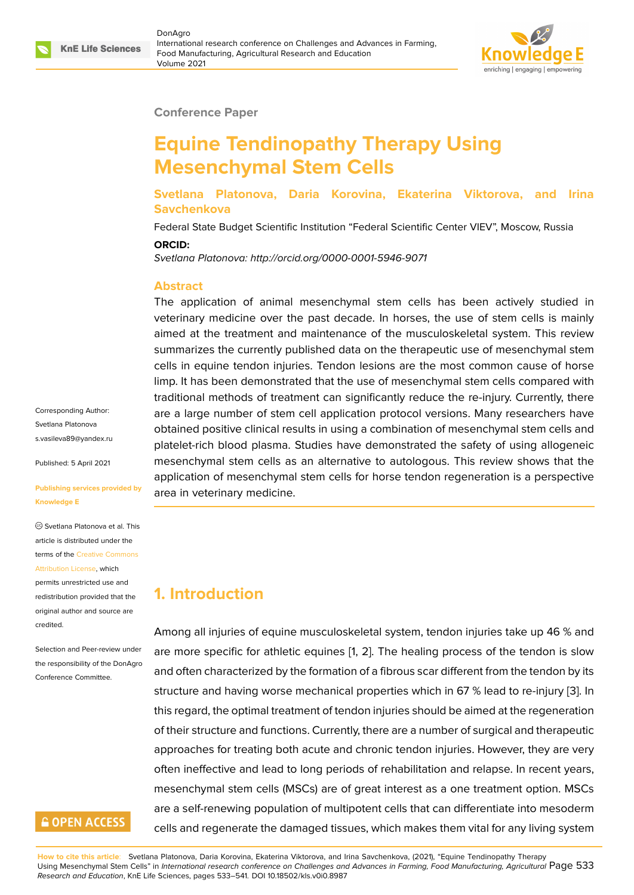

#### **Conference Paper**

# **Equine Tendinopathy Therapy Using Mesenchymal Stem Cells**

**Svetlana Platonova, Daria Korovina, Ekaterina Viktorova, and Irina Savchenkova**

Federal State Budget Scientific Institution "Federal Scientific Center VIEV", Moscow, Russia

**ORCID:**

*Svetlana Platonova: http://orcid.org/0000-0001-5946-9071*

#### **Abstract**

The application of animal mesenchymal stem cells has been actively studied in veterinary medicine over the past decade. In horses, the use of stem cells is mainly aimed at the treatment and maintenance of the musculoskeletal system. This review summarizes the currently published data on the therapeutic use of mesenchymal stem cells in equine tendon injuries. Tendon lesions are the most common cause of horse limp. It has been demonstrated that the use of mesenchymal stem cells compared with traditional methods of treatment can significantly reduce the re-injury. Currently, there are a large number of stem cell application protocol versions. Many researchers have obtained positive clinical results in using a combination of mesenchymal stem cells and platelet-rich blood plasma. Studies have demonstrated the safety of using allogeneic mesenchymal stem cells as an alternative to autologous. This review shows that the application of mesenchymal stem cells for horse tendon regeneration is a perspective area in veterinary medicine.

# **1. Introduction**

Among all injuries of equine musculoskeletal system, tendon injuries take up 46 % and are more specific for athletic equines [1, 2]. The healing process of the tendon is slow and often characterized by the formation of a fibrous scar different from the tendon by its structure and having worse mechanical properties which in 67 % lead to re-injury [3]. In this regard, the optimal treatment of ten[d](#page-7-0)[on](#page-7-1) injuries should be aimed at the regeneration of their structure and functions. Currently, there are a number of surgical and therapeutic approaches for treating both acute and chronic tendon injuries. However, they ar[e v](#page-7-2)ery often ineffective and lead to long periods of rehabilitation and relapse. In recent years, mesenchymal stem cells (MSCs) are of great interest as a one treatment option. MSCs are a self-renewing population of multipotent cells that can differentiate into mesoderm cells and regenerate the damaged tissues, which makes them vital for any living system

Corresponding Author: Svetlana Platonova s.vasileva89@yandex.ru

Published: 5 April 2021

#### **[Publishing services pro](mailto:s.vasileva89@yandex.ru)vided by Knowledge E**

Svetlana Platonova et al. This article is distributed under the terms of the Creative Commons Attribution License, which

permits unrestricted use and redistribution provided that the original auth[or and source are](https://creativecommons.org/licenses/by/4.0/) [credited.](https://creativecommons.org/licenses/by/4.0/)

Selection and Peer-review under the responsibility of the DonAgro Conference Committee.

## **GOPEN ACCESS**

**How to cite this article**: Svetlana Platonova, Daria Korovina, Ekaterina Viktorova, and Irina Savchenkova, (2021), "Equine Tendinopathy Therapy Using Mesenchymal Stem Cells" in *International research conference on Challenges and Advances in Farming, Food Manufacturing, Agricultural* Page 533 *Research and Education*, KnE Life Sciences, pages 533–541. DOI 10.18502/kls.v0i0.8987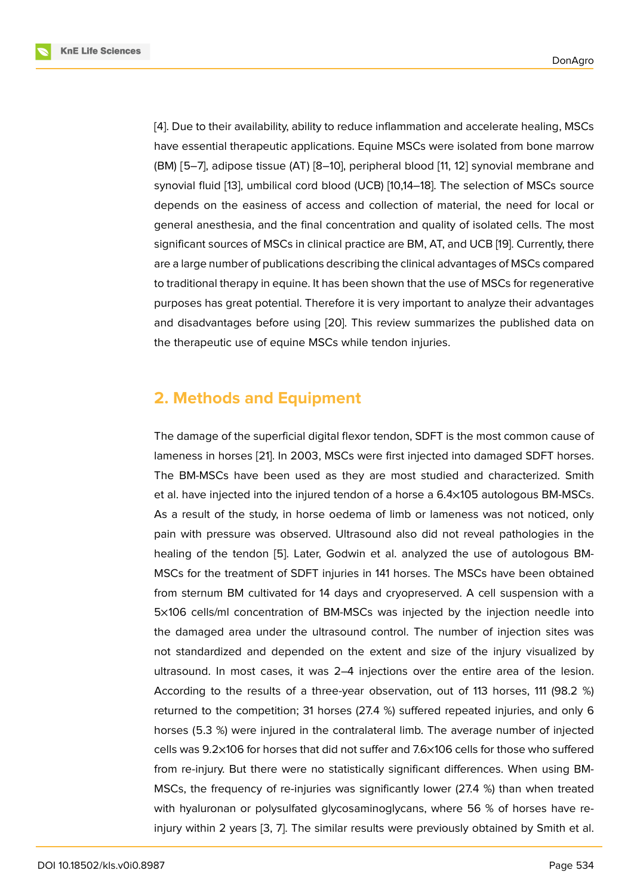[4]. Due to their availability, ability to reduce inflammation and accelerate healing, MSCs have essential therapeutic applications. Equine MSCs were isolated from bone marrow (BM) [5–7], adipose tissue (AT) [8–10], peripheral blood [11, 12] synovial membrane and [sy](#page-7-3)novial fluid [13], umbilical cord blood (UCB) [10,14–18]. The selection of MSCs source depends on the easiness of access and collection of material, the need for local or general anesthesia, and the final concentration and qu[alit](#page-8-0)[y o](#page-8-1)f isolated cells. The most significant sou[rce](#page-8-2)s of MSCs in clinical practice are BM, AT, and UCB [19]. Currently, there are a large number of publications describing the clinical advantages of MSCs compared to traditional therapy in equine. It has been shown that the use of MSCs for regenerative purposes has great potential. Therefore it is very important to analyze their advantages and disadvantages before using [20]. This review summarizes the published data on the therapeutic use of equine MSCs while tendon injuries.

### **2. Methods and Equipment**

The damage of the superficial digital flexor tendon, SDFT is the most common cause of lameness in horses [21]. In 2003, MSCs were first injected into damaged SDFT horses. The BM-MSCs have been used as they are most studied and characterized. Smith et al. have injected into the injured tendon of a horse a 6.4×105 autologous BM-MSCs. As a result of the study, in horse oedema of limb or lameness was not noticed, only pain with pressure was observed. Ultrasound also did not reveal pathologies in the healing of the tendon [5]. Later, Godwin et al. analyzed the use of autologous BM-MSCs for the treatment of SDFT injuries in 141 horses. The MSCs have been obtained from sternum BM cultivated for 14 days and cryopreserved. A cell suspension with a 5×106 cells/ml concent[ra](#page-7-4)tion of BM-MSCs was injected by the injection needle into the damaged area under the ultrasound control. The number of injection sites was not standardized and depended on the extent and size of the injury visualized by ultrasound. In most cases, it was 2–4 injections over the entire area of the lesion. According to the results of a three-year observation, out of 113 horses, 111 (98.2 %) returned to the competition; 31 horses (27.4 %) suffered repeated injuries, and only 6 horses (5.3 %) were injured in the contralateral limb. The average number of injected cells was 9.2×106 for horses that did not suffer and 7.6×106 cells for those who suffered from re-injury. But there were no statistically significant differences. When using BM-MSCs, the frequency of re-injuries was significantly lower (27.4 %) than when treated with hyaluronan or polysulfated glycosaminoglycans, where 56 % of horses have reinjury within 2 years [3, 7]. The similar results were previously obtained by Smith et al.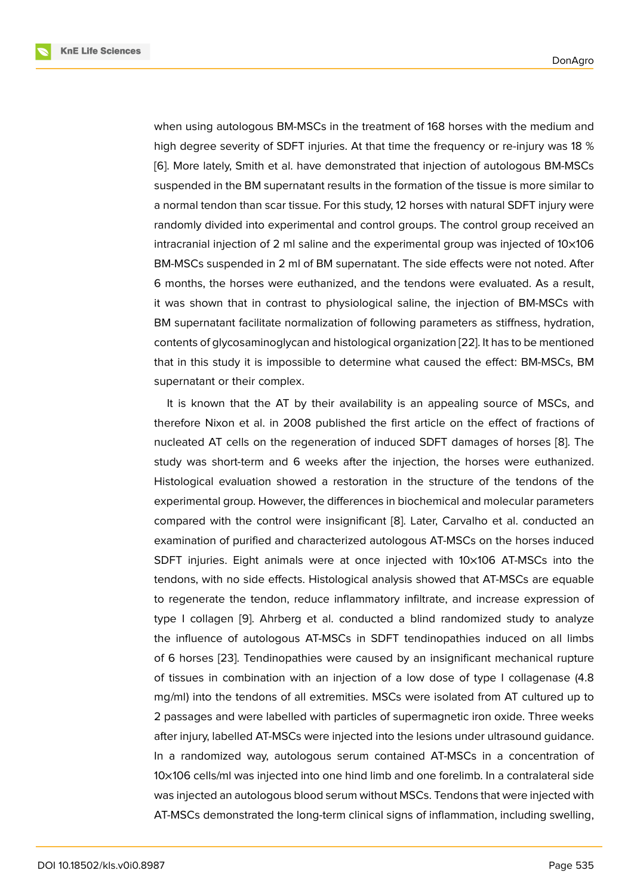when using autologous BM-MSCs in the treatment of 168 horses with the medium and high degree severity of SDFT injuries. At that time the frequency or re-injury was 18 % [6]. More lately, Smith et al. have demonstrated that injection of autologous BM-MSCs suspended in the BM supernatant results in the formation of the tissue is more similar to a normal tendon than scar tissue. For this study, 12 horses with natural SDFT injury were [ra](#page-7-5)ndomly divided into experimental and control groups. The control group received an intracranial injection of 2 ml saline and the experimental group was injected of 10×106 BM-MSCs suspended in 2 ml of BM supernatant. The side effects were not noted. After 6 months, the horses were euthanized, and the tendons were evaluated. As a result, it was shown that in contrast to physiological saline, the injection of BM-MSCs with BM supernatant facilitate normalization of following parameters as stiffness, hydration, contents of glycosaminoglycan and histological organization [22]. It has to be mentioned that in this study it is impossible to determine what caused the effect: BM-MSCs, BM supernatant or their complex.

It is known that the AT by their availability is an appealing source of MSCs, and therefore Nixon et al. in 2008 published the first article on the effect of fractions of nucleated AT cells on the regeneration of induced SDFT damages of horses [8]. The study was short-term and 6 weeks after the injection, the horses were euthanized. Histological evaluation showed a restoration in the structure of the tendons of the experimental group. However, the differences in biochemical and molecular par[am](#page-8-3)eters compared with the control were insignificant [8]. Later, Carvalho et al. conducted an examination of purified and characterized autologous AT-MSCs on the horses induced SDFT injuries. Eight animals were at once injected with 10×106 AT-MSCs into the tendons, with no side effects. Histological anal[ys](#page-8-3)is showed that AT-MSCs are equable to regenerate the tendon, reduce inflammatory infiltrate, and increase expression of type I collagen [9]. Ahrberg et al. conducted a blind randomized study to analyze the influence of autologous AT-MSCs in SDFT tendinopathies induced on all limbs of 6 horses [23]. Tendinopathies were caused by an insignificant mechanical rupture of tissues in co[mb](#page-8-4)ination with an injection of a low dose of type I collagenase (4.8 mg/ml) into the tendons of all extremities. MSCs were isolated from AT cultured up to 2 passages and were labelled with particles of supermagnetic iron oxide. Three weeks after injury, labelled AT-MSCs were injected into the lesions under ultrasound guidance. In a randomized way, autologous serum contained AT-MSCs in a concentration of 10×106 cells/ml was injected into one hind limb and one forelimb. In a contralateral side was injected an autologous blood serum without MSCs. Tendons that were injected with AT-MSCs demonstrated the long-term clinical signs of inflammation, including swelling,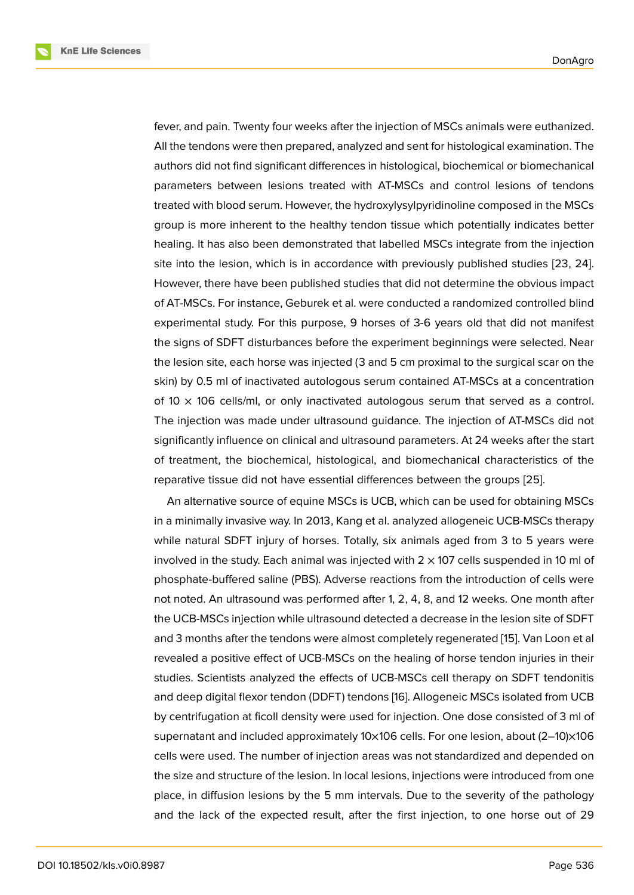fever, and pain. Twenty four weeks after the injection of MSCs animals were euthanized. All the tendons were then prepared, analyzed and sent for histological examination. The authors did not find significant differences in histological, biochemical or biomechanical parameters between lesions treated with AT-MSCs and control lesions of tendons treated with blood serum. However, the hydroxylysylpyridinoline composed in the MSCs group is more inherent to the healthy tendon tissue which potentially indicates better healing. It has also been demonstrated that labelled MSCs integrate from the injection site into the lesion, which is in accordance with previously published studies [23, 24]. However, there have been published studies that did not determine the obvious impact of AT-MSCs. For instance, Geburek et al. were conducted a randomized controlled blind experimental study. For this purpose, 9 horses of 3-6 years old that did not manifest the signs of SDFT disturbances before the experiment beginnings were selected. Near the lesion site, each horse was injected (3 and 5 cm proximal to the surgical scar on the skin) by 0.5 ml of inactivated autologous serum contained AT-MSCs at a concentration of  $10 \times 106$  cells/ml, or only inactivated autologous serum that served as a control. The injection was made under ultrasound guidance. The injection of AT-MSCs did not significantly influence on clinical and ultrasound parameters. At 24 weeks after the start of treatment, the biochemical, histological, and biomechanical characteristics of the reparative tissue did not have essential differences between the groups [25].

An alternative source of equine MSCs is UCB, which can be used for obtaining MSCs in a minimally invasive way. In 2013, Kang et al. analyzed allogeneic UCB-MSCs therapy while natural SDFT injury of horses. Totally, six animals aged from 3 to 5 years were involved in the study. Each animal was injected with  $2 \times 107$  cells suspended in 10 ml of phosphate-buffered saline (PBS). Adverse reactions from the introduction of cells were not noted. An ultrasound was performed after 1, 2, 4, 8, and 12 weeks. One month after the UCB-MSCs injection while ultrasound detected a decrease in the lesion site of SDFT and 3 months after the tendons were almost completely regenerated [15]. Van Loon et al revealed a positive effect of UCB-MSCs on the healing of horse tendon injuries in their studies. Scientists analyzed the effects of UCB-MSCs cell therapy on SDFT tendonitis and deep digital flexor tendon (DDFT) tendons [16]. Allogeneic MSCs [iso](#page-8-5)lated from UCB by centrifugation at ficoll density were used for injection. One dose consisted of 3 ml of supernatant and included approximately 10×106 cells. For one lesion, about (2-10)×106 cells were used. The number of injection areas was not standardized and depended on the size and structure of the lesion. In local lesions, injections were introduced from one place, in diffusion lesions by the 5 mm intervals. Due to the severity of the pathology and the lack of the expected result, after the first injection, to one horse out of 29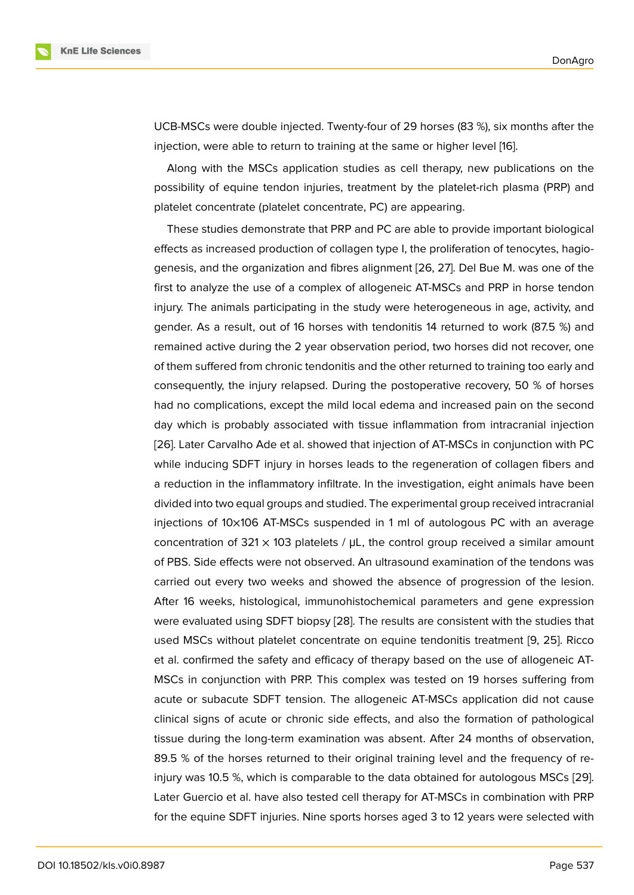



UCB-MSCs were double injected. Twenty-four of 29 horses (83 %), six months after the injection, were able to return to training at the same or higher level [16].

Along with the MSCs application studies as cell therapy, new publications on the possibility of equine tendon injuries, treatment by the platelet-rich plasma (PRP) and platelet concentrate (platelet concentrate, PC) are appearing.

These studies demonstrate that PRP and PC are able to provide important biological effects as increased production of collagen type I, the proliferation of tenocytes, hagiogenesis, and the organization and fibres alignment [26, 27]. Del Bue M. was one of the first to analyze the use of a complex of allogeneic AT-MSCs and PRP in horse tendon injury. The animals participating in the study were heterogeneous in age, activity, and gender. As a result, out of 16 horses with tendonitis 14 returned to work (87.5 %) and remained active during the 2 year observation period, two horses did not recover, one of them suffered from chronic tendonitis and the other returned to training too early and consequently, the injury relapsed. During the postoperative recovery, 50 % of horses had no complications, except the mild local edema and increased pain on the second day which is probably associated with tissue inflammation from intracranial injection [26]. Later Carvalho Ade et al. showed that injection of AT-MSCs in conjunction with PC while inducing SDFT injury in horses leads to the regeneration of collagen fibers and a reduction in the inflammatory infiltrate. In the investigation, eight animals have been divided into two equal groups and studied. The experimental group received intracranial injections of 10×106 AT-MSCs suspended in 1 ml of autologous PC with an average concentration of  $321 \times 103$  platelets /  $\mu$ L, the control group received a similar amount of PBS. Side effects were not observed. An ultrasound examination of the tendons was carried out every two weeks and showed the absence of progression of the lesion. After 16 weeks, histological, immunohistochemical parameters and gene expression were evaluated using SDFT biopsy [28]. The results are consistent with the studies that used MSCs without platelet concentrate on equine tendonitis treatment [9, 25]. Ricco et al. confirmed the safety and efficacy of therapy based on the use of allogeneic AT-MSCs in conjunction with PRP. This complex was tested on 19 horses suffering from acute or subacute SDFT tension. The allogeneic AT-MSCs application did not cause clinical signs of acute or chronic side effects, and also the formation of pathological tissue during the long-term examination was absent. After 24 months of observation, 89.5 % of the horses returned to their original training level and the frequency of reinjury was 10.5 %, which is comparable to the data obtained for autologous MSCs [29]. Later Guercio et al. have also tested cell therapy for AT-MSCs in combination with PRP for the equine SDFT injuries. Nine sports horses aged 3 to 12 years were selected with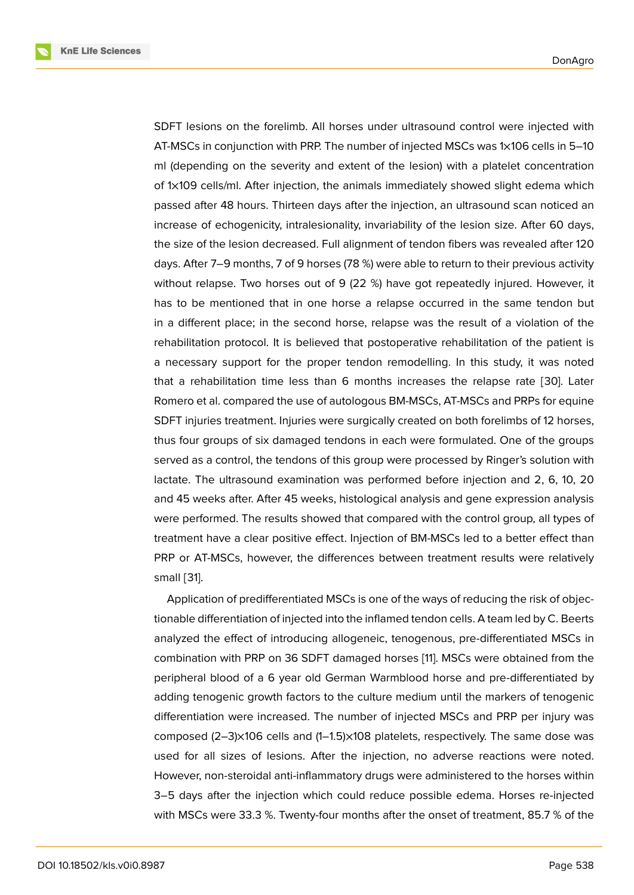SDFT lesions on the forelimb. All horses under ultrasound control were injected with AT-MSCs in conjunction with PRP. The number of injected MSCs was 1×106 cells in 5–10 ml (depending on the severity and extent of the lesion) with a platelet concentration of 1×109 cells/ml. After injection, the animals immediately showed slight edema which passed after 48 hours. Thirteen days after the injection, an ultrasound scan noticed an increase of echogenicity, intralesionality, invariability of the lesion size. After 60 days, the size of the lesion decreased. Full alignment of tendon fibers was revealed after 120 days. After 7–9 months, 7 of 9 horses (78 %) were able to return to their previous activity without relapse. Two horses out of 9 (22 %) have got repeatedly injured. However, it has to be mentioned that in one horse a relapse occurred in the same tendon but in a different place; in the second horse, relapse was the result of a violation of the rehabilitation protocol. It is believed that postoperative rehabilitation of the patient is a necessary support for the proper tendon remodelling. In this study, it was noted that a rehabilitation time less than 6 months increases the relapse rate [30]. Later Romero et al. compared the use of autologous BM-MSCs, AT-MSCs and PRPs for equine SDFT injuries treatment. Injuries were surgically created on both forelimbs of 12 horses, thus four groups of six damaged tendons in each were formulated. One of the groups served as a control, the tendons of this group were processed by Ringer's solution with lactate. The ultrasound examination was performed before injection and 2, 6, 10, 20 and 45 weeks after. After 45 weeks, histological analysis and gene expression analysis were performed. The results showed that compared with the control group, all types of treatment have a clear positive effect. Injection of BM-MSCs led to a better effect than PRP or AT-MSCs, however, the differences between treatment results were relatively small [31].

Application of predifferentiated MSCs is one of the ways of reducing the risk of objectionable differentiation of injected into the inflamed tendon cells. A team led by C. Beerts analyzed the effect of introducing allogeneic, tenogenous, pre-differentiated MSCs in combination with PRP on 36 SDFT damaged horses [11]. MSCs were obtained from the peripheral blood of a 6 year old German Warmblood horse and pre-differentiated by adding tenogenic growth factors to the culture medium until the markers of tenogenic differentiation were increased. The number of inject[ed](#page-8-0) MSCs and PRP per injury was composed (2–3)×106 cells and (1–1.5)×108 platelets, respectively. The same dose was used for all sizes of lesions. After the injection, no adverse reactions were noted. However, non-steroidal anti-inflammatory drugs were administered to the horses within 3–5 days after the injection which could reduce possible edema. Horses re-injected with MSCs were 33.3 %. Twenty-four months after the onset of treatment, 85.7 % of the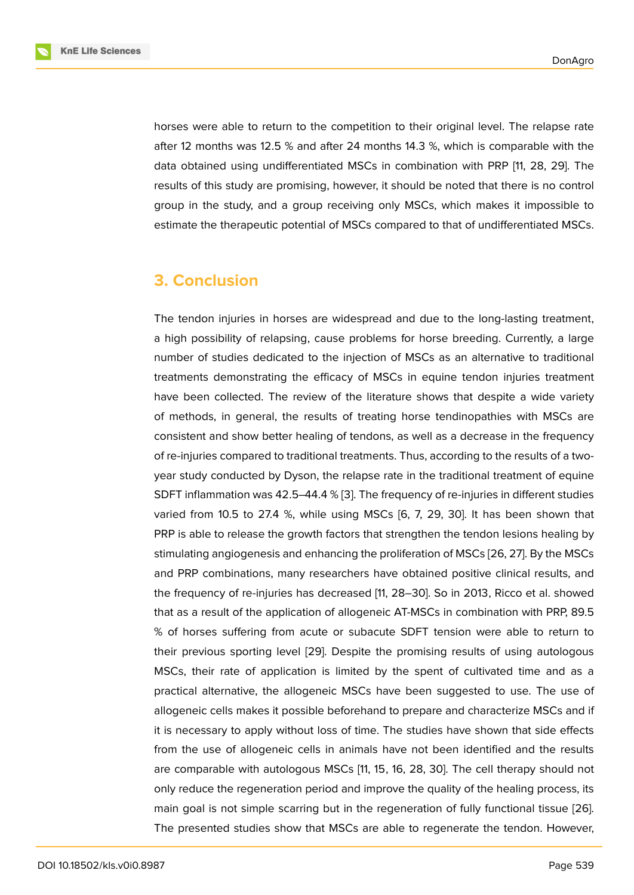horses were able to return to the competition to their original level. The relapse rate after 12 months was 12.5 % and after 24 months 14.3 %, which is comparable with the data obtained using undifferentiated MSCs in combination with PRP [11, 28, 29]. The results of this study are promising, however, it should be noted that there is no control group in the study, and a group receiving only MSCs, which makes it impossible to estimate the therapeutic potential of MSCs compared to that of undifferentiated MSCs.

### **3. Conclusion**

The tendon injuries in horses are widespread and due to the long-lasting treatment, a high possibility of relapsing, cause problems for horse breeding. Currently, a large number of studies dedicated to the injection of MSCs as an alternative to traditional treatments demonstrating the efficacy of MSCs in equine tendon injuries treatment have been collected. The review of the literature shows that despite a wide variety of methods, in general, the results of treating horse tendinopathies with MSCs are consistent and show better healing of tendons, as well as a decrease in the frequency of re-injuries compared to traditional treatments. Thus, according to the results of a twoyear study conducted by Dyson, the relapse rate in the traditional treatment of equine SDFT inflammation was 42.5–44.4 % [3]. The frequency of re-injuries in different studies varied from 10.5 to 27.4 %, while using MSCs [6, 7, 29, 30]. It has been shown that PRP is able to release the growth factors that strengthen the tendon lesions healing by stimulating angiogenesis and enhanc[in](#page-7-2)g the proliferation of MSCs [26, 27]. By the MSCs and PRP combinations, many researchers have obtained positive clinical results, and the frequency of re-injuries has decreased [11, 28–30]. So in 2013, Ricco et al. showed that as a result of the application of allogeneic AT-MSCs in combination with PRP, 89.5 % of horses suffering from acute or subacute SDFT tension were able to return to their previous sporting level [29]. Despite the promising results of using autologous MSCs, their rate of application is limited by the spent of cultivated time and as a practical alternative, the allogeneic MSCs have been suggested to use. The use of allogeneic cells makes it possible beforehand to prepare and characterize MSCs and if it is necessary to apply without loss of time. The studies have shown that side effects from the use of allogeneic cells in animals have not been identified and the results are comparable with autologous MSCs [11, 15, 16, 28, 30]. The cell therapy should not only reduce the regeneration period and improve the quality of the healing process, its main goal is not simple scarring but in the regeneration of fully functional tissue [26]. The presented studies show that MSCs are able to regenerate the tendon. However,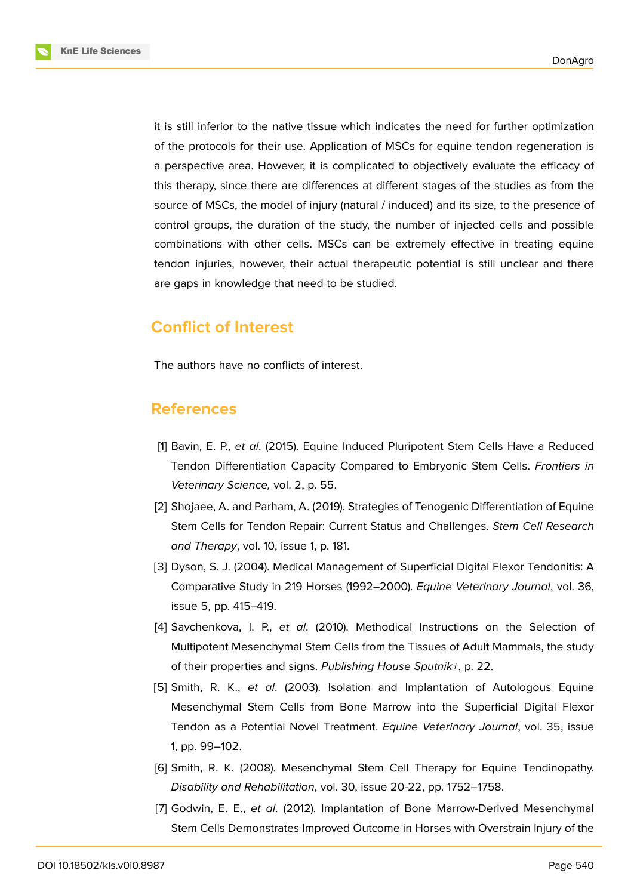**KnE Life Sciences** 



it is still inferior to the native tissue which indicates the need for further optimization of the protocols for their use. Application of MSCs for equine tendon regeneration is a perspective area. However, it is complicated to objectively evaluate the efficacy of this therapy, since there are differences at different stages of the studies as from the source of MSCs, the model of injury (natural / induced) and its size, to the presence of control groups, the duration of the study, the number of injected cells and possible combinations with other cells. MSCs can be extremely effective in treating equine tendon injuries, however, their actual therapeutic potential is still unclear and there are gaps in knowledge that need to be studied.

## **Conflict of Interest**

The authors have no conflicts of interest.

#### **References**

- <span id="page-7-0"></span>[1] Bavin, E. P., *et al*. (2015). Equine Induced Pluripotent Stem Cells Have a Reduced Tendon Differentiation Capacity Compared to Embryonic Stem Cells. *Frontiers in Veterinary Science,* vol. 2, p. 55.
- <span id="page-7-1"></span>[2] Shojaee, A. and Parham, A. (2019). Strategies of Tenogenic Differentiation of Equine Stem Cells for Tendon Repair: Current Status and Challenges. *Stem Cell Research and Therapy*, vol. 10, issue 1, p. 181.
- <span id="page-7-2"></span>[3] Dyson, S. J. (2004). Medical Management of Superficial Digital Flexor Tendonitis: A Comparative Study in 219 Horses (1992–2000). *Equine Veterinary Journal*, vol. 36, issue 5, pp. 415–419.
- <span id="page-7-3"></span>[4] Savchenkova, I. P., *et al*. (2010). Methodical Instructions on the Selection of Multipotent Mesenchymal Stem Cells from the Tissues of Adult Mammals, the study of their properties and signs. *Publishing House Sputnik+*, p. 22.
- <span id="page-7-4"></span>[5] Smith, R. K., *et al*. (2003). Isolation and Implantation of Autologous Equine Mesenchymal Stem Cells from Bone Marrow into the Superficial Digital Flexor Tendon as a Potential Novel Treatment. *Equine Veterinary Journal*, vol. 35, issue 1, pp. 99–102.
- <span id="page-7-5"></span>[6] Smith, R. K. (2008). Mesenchymal Stem Cell Therapy for Equine Tendinopathy. *Disability and Rehabilitation*, vol. 30, issue 20-22, pp. 1752–1758.
- [7] Godwin, E. E., *et al*. (2012). Implantation of Bone Marrow-Derived Mesenchymal Stem Cells Demonstrates Improved Outcome in Horses with Overstrain Injury of the